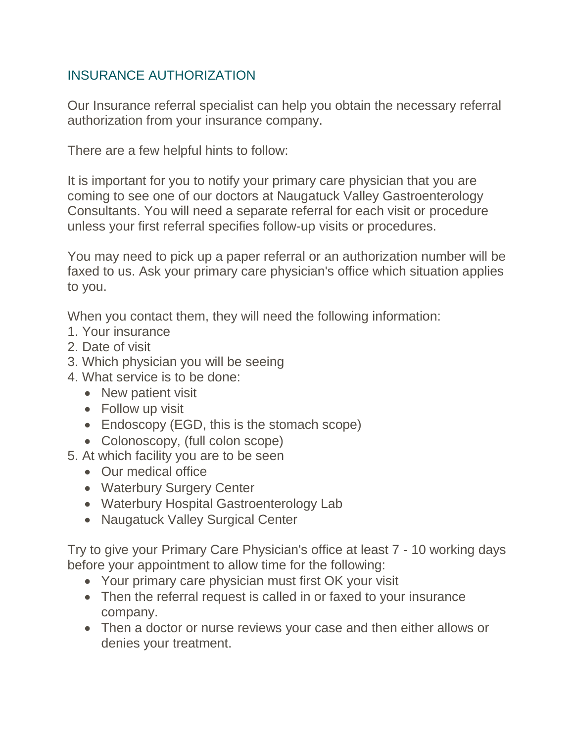## INSURANCE AUTHORIZATION

Our Insurance referral specialist can help you obtain the necessary referral authorization from your insurance company.

There are a few helpful hints to follow:

It is important for you to notify your primary care physician that you are coming to see one of our doctors at Naugatuck Valley Gastroenterology Consultants. You will need a separate referral for each visit or procedure unless your first referral specifies follow-up visits or procedures.

You may need to pick up a paper referral or an authorization number will be faxed to us. Ask your primary care physician's office which situation applies to you.

When you contact them, they will need the following information:

- 1. Your insurance
- 2. Date of visit
- 3. Which physician you will be seeing
- 4. What service is to be done:
	- New patient visit
	- Follow up visit
	- Endoscopy (EGD, this is the stomach scope)
	- Colonoscopy, (full colon scope)
- 5. At which facility you are to be seen
	- Our medical office
	- Waterbury Surgery Center
	- Waterbury Hospital Gastroenterology Lab
	- Naugatuck Valley Surgical Center

Try to give your Primary Care Physician's office at least 7 - 10 working days before your appointment to allow time for the following:

- Your primary care physician must first OK your visit
- Then the referral request is called in or faxed to your insurance company.
- Then a doctor or nurse reviews your case and then either allows or denies your treatment.